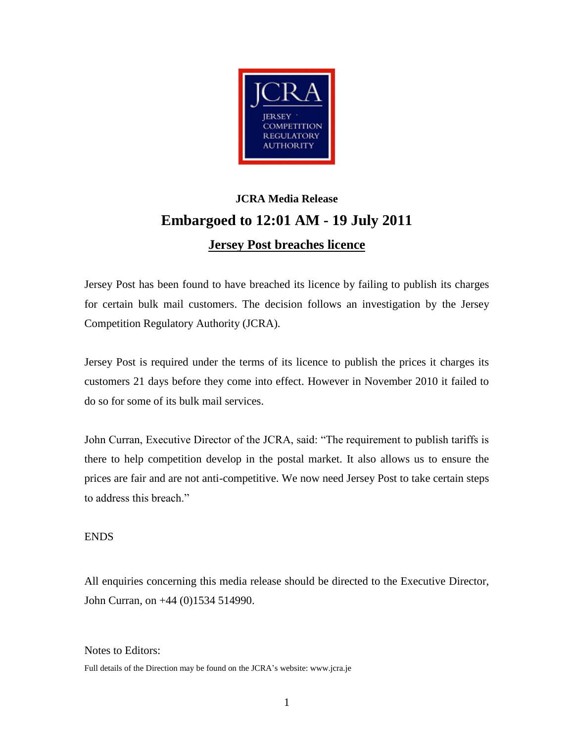

## **JCRA Media Release Embargoed to 12:01 AM - 19 July 2011 Jersey Post breaches licence**

Jersey Post has been found to have breached its licence by failing to publish its charges for certain bulk mail customers. The decision follows an investigation by the Jersey Competition Regulatory Authority (JCRA).

Jersey Post is required under the terms of its licence to publish the prices it charges its customers 21 days before they come into effect. However in November 2010 it failed to do so for some of its bulk mail services.

John Curran, Executive Director of the JCRA, said: "The requirement to publish tariffs is there to help competition develop in the postal market. It also allows us to ensure the prices are fair and are not anti-competitive. We now need Jersey Post to take certain steps to address this breach."

## ENDS

All enquiries concerning this media release should be directed to the Executive Director, John Curran, on +44 (0)1534 514990.

## Notes to Editors:

Full details of the Direction may be found on the JCRA's website: www.jcra.je